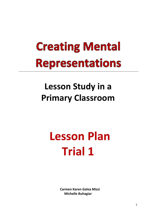## **Creating Mental Representations**

### Lesson Study in a **Primary Classroom**

# **Lesson Plan Trial 1**

**Carmen Karen Galea Mizzi Michelle Buhagiar**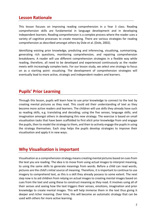#### **Lesson Rationale**

This lesson focuses on improving reading comprehension in a Year 3 class. Reading comprehension skills are fundamental in language development and in developing independent learners. Reading comprehension is a complex process where the reader uses a variety of cognitive processes to create meaning. There are various strategies for reading comprehension as described amongst others by Dole et al. (Dole, 2002).

Identifying existing prior knowledge, predicting and inferencing, visualising, summarising, generating rich questions, monitoring comprehension, and repairing comprehension breakdowns. A reader will use different comprehension strategies in a flexible way while reading, therefore, all need to be developed and experienced continuously as the reader meets with increasingly complex texts. For our lesson study, we select one strategy to focus on as a starting point: visualising. The development of comprehension strategies will eventually lead to more active, strategic and independent readers and learners.

#### **Pupils' Prior Learning**

Through this lesson, pupils will learn how to use prior knowledge to connect to the text by creating mental pictures as they read. This could aid their understanding of text as they become more active readers and learners. The children will use skills they already have such as reading skills, e.g. translating and decoding; using the five senses; language skills; and imagination amongst others in developing this new strategy. The exercise is based on small visualisation tasks that have been scaffolded to first elicit prior knowledge from and engage the pupils, then to model the strategy to them, and then to actively engage the pupils in using the strategy themselves. Each step helps the pupils develop strategies to improve their visualisation and apply it in new ways.

#### **Why Visualisation is important**

Visualisation as a comprehension strategy means creating mental pictures based on cues from the text you are reading. The idea is to move from using actual images to interpret meaning, to using the same skills to generate meanings from words. Before a child can read words, pictures are the child's initial source of meaning. Therefore, it is important to continue to use imagery to comprehend text, as this is a skill they already possess to some extent. The next step now is to aid children from relying on actual images to creating mental images based on cues from the text and using these to construct meaning as they read. It involves using all of their senses and seeing how the text triggers their senses, emotions, imagination and prior knowledge to create mental images. This will help immerse them in the text thus giving it deeper and richer meaning. Over time, this will become an automatic strategy that can be used with others for more active learning.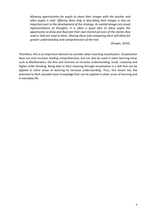Allowing opportunities for pupils to share their images with the teacher and other pupils is vital. Offering them help in describing their images is also an *important part to the development of the strategy. As mental images are visual representations* of *thoughts, it is often a good idea to allow pupils the* opportunity to draw and illustrate their own mental pictures of the stories they read or that are read to them. Sharing these and comparing them will allow for *greater understanding and comprehension of the text.* 

(Draper, 2010). 

Therefore, this is an important element to consider when teaching visualisation. Visualisation does not only increase reading comprehension, but can also be used in other learning areas such as Mathematics, the Arts and Sciences to increase understanding, recall, creativity and higher-order thinking. Being able to illicit meaning through visualisation is a skill that can be applied in other areas of learning to increase understanding. Thus, this lesson has the potential to illicit valuable basic knowledge that can be applied in other areas of learning and in everyday life.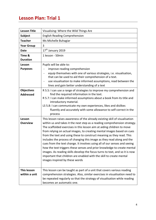### **Lesson Plan: Trial 1**

| <b>Lesson Title</b>                   | Visualising: Where the Wild Things Are                                                                                                                                                                                                                                                                                                                                                                                                                                                                                                                                                                                                                                                                                                                                                                          |
|---------------------------------------|-----------------------------------------------------------------------------------------------------------------------------------------------------------------------------------------------------------------------------------------------------------------------------------------------------------------------------------------------------------------------------------------------------------------------------------------------------------------------------------------------------------------------------------------------------------------------------------------------------------------------------------------------------------------------------------------------------------------------------------------------------------------------------------------------------------------|
| <b>Subject</b>                        | <b>English Reading Comprehension</b>                                                                                                                                                                                                                                                                                                                                                                                                                                                                                                                                                                                                                                                                                                                                                                            |
| <b>Teacher</b>                        | Ms Michelle Buhagiar                                                                                                                                                                                                                                                                                                                                                                                                                                                                                                                                                                                                                                                                                                                                                                                            |
| <b>Year Group</b>                     | 3                                                                                                                                                                                                                                                                                                                                                                                                                                                                                                                                                                                                                                                                                                                                                                                                               |
| <b>Date</b>                           | 17 <sup>th</sup> January 2019                                                                                                                                                                                                                                                                                                                                                                                                                                                                                                                                                                                                                                                                                                                                                                                   |
| Time &                                | 1 lesson - 50min                                                                                                                                                                                                                                                                                                                                                                                                                                                                                                                                                                                                                                                                                                                                                                                                |
| <b>Duration</b>                       |                                                                                                                                                                                                                                                                                                                                                                                                                                                                                                                                                                                                                                                                                                                                                                                                                 |
| Lesson                                | Pupils will be able to:                                                                                                                                                                                                                                                                                                                                                                                                                                                                                                                                                                                                                                                                                                                                                                                         |
| <b>Purposes</b>                       | improve reading comprehension                                                                                                                                                                                                                                                                                                                                                                                                                                                                                                                                                                                                                                                                                                                                                                                   |
|                                       | equip themselves with one of various strategies, i.e. visualisation,<br>that can be used to aid their comprehension of a text.                                                                                                                                                                                                                                                                                                                                                                                                                                                                                                                                                                                                                                                                                  |
|                                       | use visualisation to make informed assumptions, read between the<br>lines and gain better understanding of a text                                                                                                                                                                                                                                                                                                                                                                                                                                                                                                                                                                                                                                                                                               |
| <b>Objectives</b><br><b>Addressed</b> | R 5.5: I can use a range of strategies to improve my comprehension and<br>find the required information in the text.<br>R 5.7: I can make informed assumptions about a book from its title and<br>introductory material.                                                                                                                                                                                                                                                                                                                                                                                                                                                                                                                                                                                        |
|                                       | LS 5.8: I can communicate my own experiences, likes and dislikes<br>fluently and accurately with some allowance to self-correct in the<br>process                                                                                                                                                                                                                                                                                                                                                                                                                                                                                                                                                                                                                                                               |
| Lesson<br><b>Overview</b>             | This lesson raises awareness of the already existing skill of visualisation<br>within us and takes it the next step as a reading comprehension strategy.<br>The scaffolded exercises in this lesson aim at aiding children to move<br>from relying on actual images, to creating mental images based on cues<br>from the text and using these to construct meaning as they read. This<br>includes the process of changing this image as they read along and the<br>cues from the text change. It involves using all of our senses and seeing<br>how the text triggers these senses and prior knowledge to create mental<br>images. As reading skills develop the focus turns to text, and so it is now<br>important that children are enabled with the skill to create mental<br>images inspired by these words |
| This lesson<br>within a unit          | This lesson can be taught as part of a unit that covers various reading<br>comprehension strategies. Also, similar exercises in visualisation need to<br>be repeated regularly so that the strategy of visualisation while reading<br>becomes an automatic one.                                                                                                                                                                                                                                                                                                                                                                                                                                                                                                                                                 |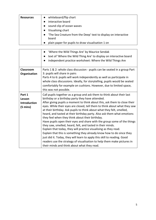| <b>Resources</b> | whiteboard/flip chart                                          |
|------------------|----------------------------------------------------------------|
|                  | interactive board                                              |
|                  | sound clip of ocean waves                                      |
|                  | Visualising chart                                              |
|                  | The Sea Creature from the Deep' text to display on interactive |
|                  | board                                                          |
|                  | plain paper for pupils to draw visualisation 1 on              |

|                                                               | 'Where the Wild Things Are' by Maurice Sendak<br>$\bullet$<br>text of 'Where the Wild Thing Are' to display on interactive board<br>independent practice worksheet: Where the Wild Things Are                                                                                                                                                                                                                                                                                                                                                                                                                                                                                                                                                                                                                                                                                                                                                                                          |
|---------------------------------------------------------------|----------------------------------------------------------------------------------------------------------------------------------------------------------------------------------------------------------------------------------------------------------------------------------------------------------------------------------------------------------------------------------------------------------------------------------------------------------------------------------------------------------------------------------------------------------------------------------------------------------------------------------------------------------------------------------------------------------------------------------------------------------------------------------------------------------------------------------------------------------------------------------------------------------------------------------------------------------------------------------------|
| Classroom<br>Organisation                                     | Parts 1 & 2: whole class discussion - pupils can be seated in a group Part<br>3: pupils will share in pairs<br>Parts 4 to 6: pupils will work independently as well as participate in<br>whole class discussions. Ideally, for storytelling, pupils would be seated<br>comfortably for example on cushions. However, due to limited space,<br>this was not possible.                                                                                                                                                                                                                                                                                                                                                                                                                                                                                                                                                                                                                   |
| Part 1<br>Lesson<br><b>Introduction</b><br>$(5 \text{ mins})$ | Call pupils together as a group and ask them to think about their last<br>birthday or a birthday party they have attended.<br>After giving pupils a moment to think about this, ask them to close their<br>eyes. While their eyes are closed, tell them to think about what they saw<br>at their birthday. Ask pupils to think about what they felt, smelled,<br>heard, and tasted at their birthday party. Also ask them what emotions<br>they feel when they think about their birthday.<br>Have pupils open their eyes and share with the group some of the things<br>they saw, smelled, heard, felt, and tasted in their minds.<br>Explain that today, they will practice visualising as they read.<br>Explain that this is something they already know how to do since they<br>just did it. Today, they will learn to apply this skill to reading. Good<br>readers use the strategy of visualisation to help them make pictures in<br>their minds and think about what they read. |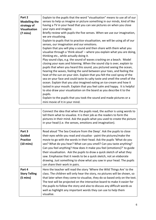| Part 2               | Explain to the pupils that the word "visualisation" means to use all of our                                                |
|----------------------|----------------------------------------------------------------------------------------------------------------------------|
| <b>Modelling the</b> | senses to help us imagine or picture something in our minds, kind of like                                                  |
| strategy of          | having a TV in your head that you can see pictures on when you close                                                       |
|                      | your eyes and imagine.                                                                                                     |
| <b>Visualisation</b> |                                                                                                                            |
| $(7 \text{ mins})$   | Briefly review with pupils the five senses. When we use our imagination,                                                   |
|                      | we are visualising.                                                                                                        |
|                      | Explain to pupils that to practice visualisation, we will be using all of our<br>senses, our imagination and our emotions. |
|                      | Explain that you will play a sound and then share with them what you                                                       |
|                      | visualise through a 'think aloud' - where you explain what you are doing,                                                  |
|                      |                                                                                                                            |
|                      | thinking etc., while actually doing it.                                                                                    |
|                      | Play sound clips, e.g. the sound of waves crashing on a beach. Model                                                       |
|                      | closing your eyes and listening. When the sound clip is over, explain to                                                   |
|                      | pupils that when you heard this sound, you pictured seeing the ocean,                                                      |
|                      | hearing the waves, feeling the sand between your toes, and feeling the                                                     |
|                      | heat of the sun on your skin. Explain that you felt the cool spray of the                                                  |
|                      | sea on your face and could taste its salty taste and smell the smell of the                                                |
|                      | ocean. Explain that you also imagined eating an ice-cream and how it                                                       |
|                      |                                                                                                                            |
|                      | tasted in your mouth. Explain that you feel calm and happy. It is helpful                                                  |
|                      | to also draw your visualization on the board as you describe it to the                                                     |
|                      | pupils.                                                                                                                    |
|                      | Explain to the pupils that you took the sound and made pictures or a                                                       |
|                      | mini movie of it in your mind.                                                                                             |

|                      | Connect the idea that when the pupils read, the author is using words to<br>tell them what to visualize. It is their job as the readers to form the<br>pictures in their mind. Ask the pupils what you used to create the picture<br>in your head (i.e. the senses, emotions and imagination). |
|----------------------|------------------------------------------------------------------------------------------------------------------------------------------------------------------------------------------------------------------------------------------------------------------------------------------------|
| Part 3               | Read aloud 'The Sea Creature from the Deep'. Ask the pupils to close                                                                                                                                                                                                                           |
| <b>Guided</b>        | their eyes while you read and visualise - paint the pictures/make the                                                                                                                                                                                                                          |
| <b>Practice</b>      | movie to go with the words in their head. Ask the pupils 'What do you                                                                                                                                                                                                                          |
| $(10 \text{ mins})$  | see? What do you hear? What can you smell? Can you taste anything?                                                                                                                                                                                                                             |
|                      | Can you feel anything? How does it make you feel (emotions)?' to guide                                                                                                                                                                                                                         |
|                      | their visualisation. Ask the pupils to draw a quick sketch of what they                                                                                                                                                                                                                        |
|                      | saw. Emphasise that it needs to be a quick sketch, not an elaborate                                                                                                                                                                                                                            |
|                      | drawing. Just something to show what you saw in your head. The pupils                                                                                                                                                                                                                          |
|                      | can share their work in pairs.                                                                                                                                                                                                                                                                 |
| Part 4               | Here the teacher will read the story 'Where the Wild Things Are' to the                                                                                                                                                                                                                        |
| <b>Story Telling</b> | class. The children will only hear the story, no pictures will be shown, so                                                                                                                                                                                                                    |
| $(5 \text{ mins})$   | that later when they come to visualise, they do so based only on the text.                                                                                                                                                                                                                     |
|                      | The text will be projected on the interactive board to make it easier for                                                                                                                                                                                                                      |
|                      | the pupils to follow the story and also to discuss any difficult words as                                                                                                                                                                                                                      |
|                      | well as highlight any important words they can use to help them                                                                                                                                                                                                                                |
|                      | visualise.                                                                                                                                                                                                                                                                                     |